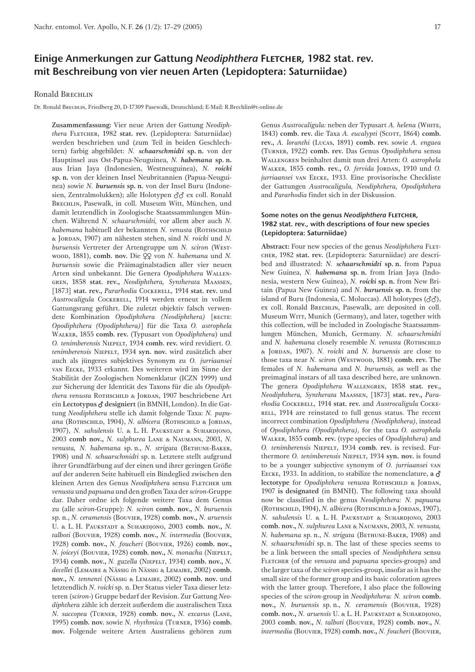# **Einige Anmerkungen zur Gattung** *Neodiphthera* **Fletcher, 1982 stat. rev. mit Beschreibung von vier neuen Arten (Lepidoptera: Saturniidae)**

#### Ronald Brechlin

Dr. Ronald Brechlin, Friedberg 20, D-17309 Pasewalk, Deutschland; E-Mail: R.Brechlin@t-online.de

**Zusammenfassung:** Vier neue Arten der Gattung *Neodiphthera* Fletcher, 1982 **stat. rev.** (Lepidoptera: Saturniidae) werden beschrieben und (zum Teil in beiden Geschlechtern) farbig abgebildet: *N. schaarschmidti* **sp. n.** von der Hauptinsel aus Ost-Papua-Neuguinea, *N. habemana* **sp. n.** aus Irian Jaya (Indonesien, Westneuguinea), *N. roicki* **sp. n.** von der kleinen Insel Neubritannien (Papua-Neuguinea) sowie *N. buruensis* **sp. n.** von der Insel Buru (Indonesien, Zentralmolukken); alle Holotypen ♂♂ ex coll. Ronald Brechlin, Pasewalk, in coll. Museum Witt, München, und damit letztendlich in Zoologische Staatssammlungen München. Während *N. schaarschmidti,* vor allem aber auch *N. habemana* habituell der bekannten N. venusta (ROTHSCHILD & Jordan, 1907) am nähesten stehen, sind *N. roicki* und *N. buruensis* Vertreter der Artengruppe um *N. sciron* (Westwood, 1881), **comb. nov.** Die ♀♀ von *N. habemana* und *N. buruensis* sowie die Präimaginalstadien aller vier neuen Arten sind unbekannt. Die Genera *Opodiphthera* Wallengren, 1858 **stat. rev.,** *Neodiphthera, Syntherata* Maassen, [1873] **stat. rev.,** *Pararhodia* Cockerell, 1914 **stat. rev.** und Austrocaligula COCKERELL, 1914 werden erneut in vollem Gattungsrang geführt. Die zuletzt objektiv falsch verwendete Kombination *Opodiphthera (Neodiphthera)* [recte: *Opodiphthera (Opodiphthera)*] für die Taxa *O. astrophela* Walker, 1855 **comb. rev.** (Typusart von *Opodiphthera*) und *O. tenimberensis* Niepelt, 1934 **comb. rev.** wird revidiert. *O. tenimberensis* Niepelt, 1934 **syn. nov.** wird zusätzlich aber auch als jüngeres subjektives Synonym zu *O. jurriaansei* van Eecke, 1933 erkannt. Des weiteren wird im Sinne der Stabilität der Zoologischen Nomenklatur (ICZN 1999) und zur Sicherung der Identität des Taxons für die als *Opodiphthera venusta* Rothschild & Jordan, 1907 beschriebene Art ein **Lectotypus ♂ designiert** (in BMNH, London). In die Gattung *Neodiphthera* stelle ich damit folgende Taxa: *N. papuana* (Rothschild, 1904), *N. albicera* (Rothschild & Jordan, 1907), *N. sahulensis* U. & L. H. PAUKSTADT & SUHARDJONO, 2003 **comb nov.,** *N. sulphurea* Lane & Naumann, 2003, *N. venusta, N. habemana* sp. n., *N. strigata* (BETHUNE-BAKER, 1908) und *N. schaarschmidti* sp. n. Letztere stellt aufgrund ihrer Grundfärbung auf der einen und ihrer geringen Größe auf der anderen Seite habituell ein Bindeglied zwischen den kleinen Arten des Genus Neodiphthera sensu FLETCHER um *venusta* und *papuana* und den großen Taxa der*sciron*-Gruppe dar. Daher ordne ich folgende weitere Taxa dem Genus zu (alle *sciron*-Gruppe): *N. sciron* **comb. nov.,** *N. buruensis* sp. n., *N. ceramensis* (Bouvier, 1928) **comb. nov.,** *N. aruensis* U. & L. H. Paukstadt & Suhardjono, 2003 **comb. nov.,** *N. talboti* (Bouvier, 1928) **comb. nov.,** *N. intermedia* (Bouvier, 1928) **comb. nov.,** *N. foucheri* (Bouvier, 1926) **comb. nov.,** *N. joiceyi* (Bouvier, 1928) **comb. nov.,** *N. monacha* (Niepelt, 1934) **comb. nov.,** *N. gazella* (Niepelt, 1934) **comb. nov.,** *N. decellei* (Lemaire & Nässig *in* Nässig & Lemaire, 2002) **comb. nov.,** *N. tennenti* (Nässig & Lemaire, 2002) **comb. nov.** und letztendlich *N. roicki* sp. n. Der Status vieler Taxa dieser letzteren (*sciron*-) Gruppe bedarf der Revision. Zur Gattung *Neodiphthera* zähle ich derzeit außerdem die australischen Taxa *N. saccopea* (Turner, 1928) **comb. nov.,** *N. excavus* (Lane, 1995) **comb. nov.** sowie *N. rhythmica* (Turner, 1936) **comb. nov.** Folgende weitere Arten Australiens gehören zum

Genus *Austrocaligula:* neben der Typusart *A. helena* (White, 1843) **comb. rev.** die Taxa *A. eucalypti* (Scorr, 1864) **comb. rev.,** *A. loranthi* (Lucas, 1891) **comb. rev.** sowie *A. engaea* (Turner, 1922) **comb. rev.** Das Genus *Opodiphthera* sensu Wallengren beinhaltet damit nun drei Arten: *O. astrophela* Walker, 1855 **comb. rev.,** *O. fervida* Jordan, 1910 und *O. jurriaansei* van Eecke, 1933. Eine provisorische Checkliste der Gattungen *Austrocaligula, Neodiphthera, Opodiphthera* and *Pararhodia* findet sich in der Diskussion.

#### **Some notes on the genus** *Neodiphthera* **Fletcher, 1982 stat. rev., with descriptions of four new species (Lepidoptera: Saturniidae)**

Abstract: Four new species of the genus *Neodiphthera* FLETcher, 1982 **stat. rev.** (Lepidoptera: Saturniidae) are described and illustrated: *N. schaarschmidti* **sp. n.** from Papua New Guinea, *N. habemana* **sp. n.** from Irian Jaya (Indonesia, western New Guinea), *N. roicki* **sp. n.** from New Britain (Papua New Guinea) and *N. buruensis* **sp. n.** from the island of Buru (Indonesia, C. Moluccas). All holotypes (♂♂), ex coll. Ronald BRECHLIN, Pasewalk, are deposited in coll. Museum WITT, Munich (Germany), and later, together with this collection, will be included in Zoologische Staatssammlungen München, Munich, Germany. *N. schaarschmidti* and *N. habemana* closely resemble *N. venusta* (ROTHSCHILD & Jordan, 1907). *N. roicki* and *N. buruensis* are close to those taxa near *N. sciron* (Westwood, 1881) **comb. rev.** The females of *N. habemana* and *N. buruensis,* as well as the preimaginal instars of all taxa described here, are unknown. The genera *Opodiphthera* Wallengren, 1858 **stat. rev.,** *Neodiphthera, Syntherata* Maassen, [1873] **stat. rev.,** *Pararhodia* Cockerell, 1914 **stat. rev.** and *Austrocaligula* Cockerell, 1914 are reinstated to full genus status. The recent incorrect combination *Opodiphthera (Neodiphthera),* instead of *Opodiphthera (Opodiphthera),* for the taxa *O. astrophela* Walker, 1855 **comb. rev.** (type species of *Opodiphthera*) and *O. tenimberensis* Niepelt, 1934 **comb. rev.** is revised. Furthermore *O. tenimberensis* Niepelt, 1934 **syn. nov.** is found to be a younger subjective synonym of *O. jurriaansei* van Eecke, 1933. In addition, to stabilize the nomenclature, **a ♂** lectotype for *Opodiphthera venusta* ROTHSCHILD & JORDAN, 1907 **is designated** (in BMNH). The following taxa should now be classified in the genus *Neodiphthera: N. papuana* (Rothschild, 1904), *N. albicera* (Rothschild & Jordan, 1907), *N. sahulensis* U. & L. H. PAUKSTADT & SUHARDJONO, 2003 **comb. nov.,** *N. sulphurea* Lane & Naumann, 2003, *N. venusta, N. habemana* sp. n., *N. strigata* (Bethune-Baker, 1908) and *N. schaarschmidti* sp. n. The last of these species seems to be a link between the small species of *Neodiphthera* sensu FLETCHER (of the *venusta* and *papuana* species-groups) and the larger taxa of the *sciron* species-group, insofar as it has the small size of the former group and its basic coloration agrees with the latter group. Therefore, I also place the following species of the *sciron*-group in *Neodiphthera: N. sciron* **comb. nov.,** *N. buruensis* sp. n., *N. ceramensis* (Bouvier, 1928) comb. nov., *N. aruensis* U. & L. H. PAUKSTADT & SUHARDJONO, 2003 **comb. nov.,** *N. talboti* (Bouvier, 1928) **comb. nov.,** *N. intermedia* (Bouvier, 1928) **comb. nov.,** *N. foucheri* (Bouvier,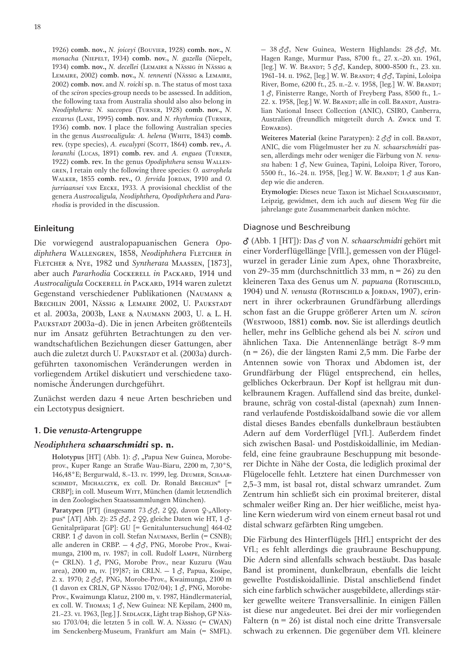1926) **comb. nov.,** *N. joiceyi* (Bouvier, 1928) **comb. nov.,** *N. monacha* (Niepelt, 1934) **comb. nov.,** *N. gazella* (Niepelt, 1934) **comb. nov.,** *N. decellei* (Lemaire & Nässig *in* Nässig & Lemaire, 2002) **comb. nov.,** *N. tennenti* (Nässig & Lemaire, 2002) **comb. nov.** and *N. roicki* sp. n. The status of most taxa of the *sciron* species-group needs to be assessed. In addition, the following taxa from Australia should also also belong in *Neodiphthera: N. saccopea* (Turner, 1928) **comb. nov.,** *N. excavus* (Lane, 1995) **comb. nov.** and *N. rhythmica* (Turner, 1936) **comb. nov.** I place the following Australian species in the genus *Austrocaligula: A. helena* (WHITE, 1843) comb. rev. (type species), *A. eucalypti* (Scorr, 1864) **comb. rev.**, *A. loranthi* (Lucas, 1891) **comb. rev.** and *A. engaea* (Turner, 1922) **comb. rev.** In the genus *Opodiphthera* sensu Wallengren, I retain only the following three species: *O. astrophela* WALKER, 1855 comb. rev., O. fervida JORDAN, 1910 and O. *jurriaansei* van Eecke, 1933. A provisional checklist of the genera *Austrocaligula, Neodiphthera, Opodiphthera* and *Pararhodia* is provided in the discussion.

#### **Einleitung**

Die vorwiegend australopapuanischen Genera *Opodiphthera* Wallengren, 1858, *Neodiphthera* Fletcher *in* Fletcher & Nye, 1982 und *Syntherata* Maassen, [1873], aber auch *Pararhodia* COCKERELL *in* PACKARD, 1914 und *Austrocaligula* Cockerell *in* Packard, 1914 waren zuletzt Gegenstand verschiedener Publikationen (Naumann & BRECHLIN 2001, NÄSSIG & LEMAIRE 2002, U. PAUKSTADT et al. 2003a, 2003b, Lane & Naumann 2003, U. & L. H. PAUKSTADT 2003a-d). Die in jenen Arbeiten größtenteils nur im Ansatz geführten Betrachtungen zu den verwandtschaftlichen Beziehungen dieser Gattungen, aber auch die zuletzt durch U. PAUKSTADT et al. (2003a) durchgeführten taxonomischen Veränderungen werden in vorliegendem Artikel diskutiert und verschiedene taxonomische Änderungen durchgeführt.

Zunächst werden dazu 4 neue Arten beschrieben und ein Lectotypus designiert.

#### **1. Die** *venusta***-Artengruppe**

## *Neodiphthera schaarschmidti* **sp. n.**

Holotypus [HT] (Abb. 1):  $\delta$ , "Papua New Guinea, Morobeprov., Kuper Range an Straße Wau–Biaru, 2200 m, 7,30°S, 146,48°E; Bergurwald, 8.–13. iv. 1999, leg. Deumer, Schaarschmidt, Michalczyk, ex coll. Dr. Ronald Brechlin" [= CRBP]; in coll. Museum Witt, München (damit letztendlich in den Zoologischen Staatssammlungen München).

Paratypen<sup>[PT]</sup> (insgesamt 73 ♂, 2 ♀♀, davon ♀-,,Allotypus" [AT] Abb. 2): 25 ♂♂, 2 ♀♀, gleiche Daten wie HT, 1 ♂- Genitalpräparat [GP]: GU [= Genitaluntersuchung] 464-02 CRBP. 1  $\delta$  davon in coll. Stefan NAUMANN, Berlin (= CSNB); alle anderen in CRBP.  $-$  4  $\delta\delta$ , PNG, Morobe Prov., Kwaimunga, 2100 m, iv. 1987; in coll. Rudolf Lampe, Nürnberg (= CRLN). 1 ♂, PNG, Morobe Prov., near Kuzuru (Wau area), 2000 m, iv. [19]87; in CRLN.  $-1 \, \delta$ , Papua, Kosipe, 2. x. 1970; 2 ♂♂, PNG, Morobe-Prov., Kwaimunga, 2100 m (1 davon ex CRLN, GP Nässig 1702/04); 1 ♂, PNG, Morobe-Prov., Kwaimunga Klatuz, 2100 m, v. 1987, Händlermaterial, ex coll. W. Thomas;  $1 \delta$ , New Guinea: NE Kepilam, 2400 m, 21.–23. vi. 1963, [leg.] J. Sedlacek, Light trap Bishop, GP Nässig 1703/04; die letzten 5 in coll. W. A. Nässig (= CWAN) im Senckenberg-Museum, Frankfurt am Main (= SMFL).

— 38 ♂♂, New Guinea, Western Highlands: 28 ♂♂, Mt. Hagen Range, Murmur Pass, 8700 ft., 27. x.–20. xii. 1961, [leg.] W. W. Brandt; 5 ♂♂, Kandep, 8000–8500 ft., 23. xii. 1961-14. п. 1962, [leg.] W. W. BRANDT; 4 & , Tapini, Loloipa River, Bome, 6200 ft., 25. II.-2. v. 1958, [leg.] W. W. BRANDT; 1 ♂, Finisterre Range, North of Freyberg Pass, 8500 ft., 1.– 22. x. 1958, [leg.] W. W. BRANDT; alle in coll. BRANDT, Australian National Insect Collection (ANIC), CSIRO, Canberra, Australien (freundlich mitgeteilt durch A. Zwick und T. EDWARDS).

**Weiteres Material** (keine Paratypen): 2 ♂♂ in coll. Brandt, ANIC, die vom Flügelmuster her zu *N. schaarschmidti* passen, allerdings mehr oder weniger die Färbung von *N. venusta* haben: 1 ♂, New Guinea, Tapini, Loloipa River, Tororo, 5500 ft., 16.-24. н. 1958, [leg.] W. W. BRANDT; 1 & aus Kandep wie die anderen.

Etymologie: Dieses neue Taxon ist Michael SCHAARSCHMIDT, Leipzig, gewidmet, dem ich auch auf diesem Weg für die jahrelange gute Zusammenarbeit danken möchte.

#### Diagnose und Beschreibung

**♂** (Abb. 1 [HT]): Das ♂ von *N. schaarschmidti* gehört mit einer Vorderflügellänge [Vfll.], gemessen von der Flügelwurzel in gerader Linie zum Apex, ohne Thoraxbreite, von 29–35 mm (durchschnittlich 33 mm, n = 26) zu den kleineren Taxa des Genus um *N. papuana* (ROTHSCHILD, 1904) und *N. venusta* (ROTHSCHILD & JORDAN, 1907), erinnert in ihrer ockerbraunen Grundfärbung allerdings schon fast an die Gruppe größerer Arten um *N. sciron* (Westwood, 1881) **comb. nov.** Sie ist allerdings deutlich heller, mehr ins Gelbliche gehend als bei *N. sciron* und ähnlichen Taxa. Die Antennenlänge beträgt 8–9 mm (n = 26), die der längsten Rami 2,5 mm. Die Farbe der Antennen sowie von Thorax und Abdomen ist, der Grundfärbung der Flügel entsprechend, ein helles, gelbliches Ockerbraun. Der Kopf ist hellgrau mit dunkelbraunem Kragen. Auffallend sind das breite, dunkelbraune, schräg von costal-distal (apexnah) zum Innenrand verlaufende Postdiskoidalband sowie die vor allem distal dieses Bandes ebenfalls dunkelbraun bestäubten Adern auf dem Vorderflügel [Vfl.]. Außerdem findet sich zwischen Basal- und Postdiskoidallinie, im Medianfeld, eine feine graubraune Beschuppung mit besonderer Dichte in Nähe der Costa, die lediglich proximal der Flügelocelle fehlt. Letztere hat einen Durchmesser von 2,5–3 mm, ist basal rot, distal schwarz umrandet. Zum Zentrum hin schließt sich ein proximal breiterer, distal schmaler weißer Ring an. Der hier weißliche, meist hyaline Kern wiederum wird von einem erneut basal rot und distal schwarz gefärbten Ring umgeben.

Die Färbung des Hinterflügels [Hfl.] entspricht der des Vfl.; es fehlt allerdings die graubraune Beschuppung. Die Adern sind allenfalls schwach bestäubt. Das basale Band ist prominent, dunkelbraun, ebenfalls die leicht gewellte Postdiskoidallinie. Distal anschließend findet sich eine farblich schwächer ausgebildete, allerdings stärker gewellte weitere Transversallinie. In einigen Fällen ist diese nur angedeutet. Bei drei der mir vorliegenden Faltern  $(n = 26)$  ist distal noch eine dritte Transversale schwach zu erkennen. Die gegenüber dem Vfl. kleinere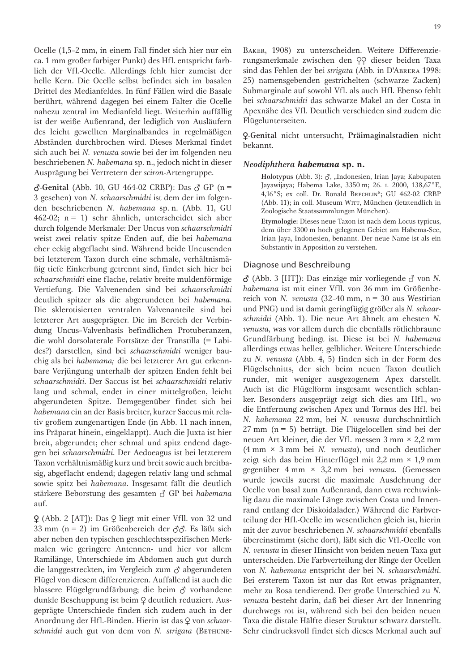Ocelle (1,5–2 mm, in einem Fall findet sich hier nur ein ca. 1 mm großer farbiger Punkt) des Hfl. entspricht farblich der Vfl.-Ocelle. Allerdings fehlt hier zumeist der helle Kern. Die Ocelle selbst befindet sich im basalen Drittel des Medianfeldes. In fünf Fällen wird die Basale berührt, während dagegen bei einem Falter die Ocelle nahezu zentral im Medianfeld liegt. Weiterhin auffällig ist der weiße Außenrand, der lediglich von Ausläufern des leicht gewellten Marginalbandes in regelmäßigen Abständen durchbrochen wird. Dieses Merkmal findet sich auch bei *N. venusta* sowie bei der im folgenden neu beschriebenen *N. habemana* sp. n., jedoch nicht in dieser Ausprägung bei Vertretern der *sciron*-Artengruppe.

**♂-Genital** (Abb. 10, GU 464-02 CRBP): Das ♂ GP (n = 3 gesehen) von *N. schaarschmidti* ist dem der im folgenden beschriebenen *N. habemana* sp. n. (Abb. 11, GU 462-02; n = 1) sehr ähnlich, unterscheidet sich aber durch folgende Merkmale: Der Uncus von *schaarschmidti* weist zwei relativ spitze Enden auf, die bei *habemana* eher eckig abgeflacht sind. Während beide Uncusenden bei letzterem Taxon durch eine schmale, verhältnismäßig tiefe Einkerbung getrennt sind, findet sich hier bei *schaarschmidti* eine flache, relativ breite muldenförmige Vertiefung. Die Valvenenden sind bei *schaarschmidti* deutlich spitzer als die abgerundeten bei *habemana*. Die sklerotisierten ventralen Valvenanteile sind bei letzterer Art ausgeprägter. Die im Bereich der Verbindung Uncus–Valvenbasis befindlichen Protuberanzen, die wohl dorsolaterale Fortsätze der Transtilla (= Labides?) darstellen, sind bei *schaarschmidti* weniger bauchig als bei *habemana;* die bei letzterer Art gut erkennbare Verjüngung unterhalb der spitzen Enden fehlt bei *schaarschmidti*. Der Saccus ist bei *schaarschmidti* relativ lang und schmal, endet in einer mittelgroßen, leicht abgerundeten Spitze. Demgegenüber findet sich bei *habemana* ein an der Basis breiter, kurzer Saccus mitrelativ großem zungenartigen Ende (in Abb. 11 nach innen, ins Präparat hinein, eingeklappt). Auch die Juxta ist hier breit, abgerundet; eher schmal und spitz endend dagegen bei *schaarschmidti*. Der Aedoeagus ist bei letzterem Taxon verhältnismäßig kurz und breitsowie auch breitbasig, abgeflacht endend; dagegen relativ lang und schmal sowie spitz bei *habemana*. Insgesamt fällt die deutlich stärkere Beborstung des gesamten ♂ GP bei *habemana* auf.

**♀** (Abb. 2 [AT]): Das ♀ liegt mit einer Vfll. von 32 und 33 mm (n = 2) im Größenbereich der  $\partial \partial$ . Es läßt sich aber neben den typischen geschlechtsspezifischen Merkmalen wie geringere Antennen- und hier vor allem Ramilänge, Unterschiede im Abdomen auch gut durch die langgestreckten, im Vergleich zum ♂ abgerundeten Flügel von diesem differenzieren. Auffallend ist auch die blassere Flügelgrundfärbung; die beim ♂ vorhandene dunkle Beschuppung ist beim ♀ deutlich reduziert. Ausgeprägte Unterschiede finden sich zudem auch in der Anordnung der Hfl.-Binden. Hierin ist das ♀ von *schaar* $schmidt$  auch gut von dem von *N. strigata* (BETHUNE-

Baker, 1908) zu unterscheiden. Weitere Differenzierungsmerkmale zwischen den ♀♀ dieser beiden Taxa sind das Fehlen der bei *strigata* (Abb. in D'Abrera 1998: 25) namensgebenden gestrichelten (schwarze Zacken) Submarginale auf sowohl Vfl. als auch Hfl. Ebenso fehlt bei *schaarschmidti* das schwarze Makel an der Costa in Apexnähe des Vfl. Deutlich verschieden sind zudem die Flügelunterseiten.

**♀-Genital** nicht untersucht, **Präimaginalstadien** nicht bekannt.

## *Neodiphthera habemana* **sp. n.**

Holotypus (Abb. 3): ♂, "Indonesien, Irian Jaya; Kabupaten Jayawijaya; Habema Lake, 3350 m; 26. i. 2000, 138,67°E, 4,16°S; ex coll. Dr. Ronald Brechlin"; GU 462-02 CRBP (Abb. 11); in coll. Museum WITT, München (letztendlich in Zoologische Staatssammlungen München).

**Etymologie:** Dieses neue Taxon ist nach dem Locus typicus, dem über 3300 m hoch gelegenen Gebiet am Habema-See, Irian Jaya, Indonesien, benannt. Der neue Name ist als ein Substantiv in Apposition zu verstehen.

#### Diagnose und Beschreibung

**♂** (Abb. 3 [HT]): Das einzige mir vorliegende ♂ von *N. habemana* ist mit einer Vfll. von 36 mm im Größenbereich von *N. venusta* (32–40 mm, n = 30 aus Westirian und PNG) und ist damit geringfügig größer als *N. schaarschmidti* (Abb. 1). Die neue Art ähnelt am ehesten *N. venusta,* was vor allem durch die ebenfalls rötlichbraune Grundfärbung bedingt ist. Diese ist bei *N. habemana* allerdings etwas heller, gelblicher. Weitere Unterschiede zu *N. venusta* (Abb. 4, 5) finden sich in der Form des Flügelschnitts, der sich beim neuen Taxon deutlich runder, mit weniger ausgezogenem Apex darstellt. Auch ist die Flügelform insgesamt wesentlich schlanker. Besonders ausgeprägt zeigt sich dies am Hfl., wo die Entfernung zwischen Apex und Tornus des Hfl. bei *N. habemana* 22 mm, bei *N. venusta* durchschnittlich  $27 \text{ mm}$  (n = 5) beträgt. Die Flügelocellen sind bei der neuen Art kleiner, die der Vfl. messen 3 mm × 2,2 mm (4 mm × 3 mm bei *N. venusta*), und noch deutlicher zeigt sich das beim Hinterflügel mit 2,2 mm × 1,9 mm gegenüber 4 mm × 3,2 mm bei *venusta*. (Gemessen wurde jeweils zuerst die maximale Ausdehnung der Ocelle von basal zum Außenrand, dann etwa rechtwinklig dazu die maximale Länge zwischen Costa und Innenrand entlang der Diskoidalader.) Während die Farbverteilung der Hfl.-Ocelle im wesentlichen gleich ist, hierin mit der zuvor beschriebenen *N. schaarschmidti* ebenfalls übereinstimmt (siehe dort), läßt sich die Vfl.-Ocelle von *N. venusta* in dieser Hinsicht von beiden neuen Taxa gut unterscheiden. Die Farbverteilung der Ringe der Ocellen von *N. habemana* entspricht der bei N*. schaarschmidti*. Bei ersterem Taxon ist nur das Rot etwas prägnanter, mehr zu Rosa tendierend. Der große Unterschied zu *N. venusta* besteht darin, daß bei dieser Art der Innenring durchwegs rot ist, während sich bei den beiden neuen Taxa die distale Hälfte dieser Struktur schwarz darstellt. Sehr eindrucksvoll findet sich dieses Merkmal auch auf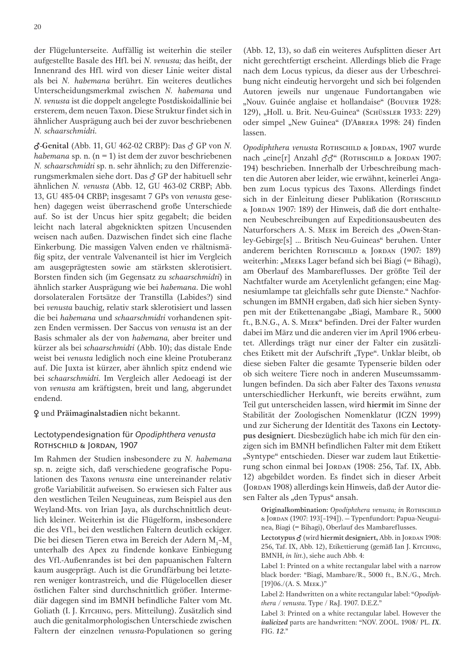der Flügelunterseite. Auffällig ist weiterhin die steiler aufgestellte Basale des Hfl. bei *N. venusta;* das heißt, der Innenrand des Hfl. wird von dieser Linie weiter distal als bei *N. habemana* berührt. Ein weiteres deutliches Unterscheidungsmerkmal zwischen *N. habemana* und *N. venusta* ist die doppelt angelegte Postdiskoidallinie bei ersterem, dem neuen Taxon. Diese Struktur findet sich in ähnlicher Ausprägung auch bei der zuvor beschriebenen *N. schaarschmidti*.

**♂-Genital** (Abb. 11, GU 462-02 CRBP): Das ♂ GP von *N. habemana* sp. n. (n = 1) ist dem der zuvor beschriebenen *N. schaarschmidti* sp. n. sehr ähnlich; zu den Differenzierungsmerkmalen siehe dort. Das ♂ GP der habituell sehr ähnlichen *N. venusta* (Abb. 12, GU 463-02 CRBP; Abb. 13, GU 485-04 CRBP; insgesamt 7 GPs von *venusta* gesehen) dagegen weist überraschend große Unterschiede auf. So ist der Uncus hier spitz gegabelt; die beiden leicht nach lateral abgeknickten spitzen Uncusenden weisen nach außen. Dazwischen findet sich eine flache Einkerbung. Die massigen Valven enden ve rhältnismäßig spitz, der ventrale Valvenanteil ist hier im Vergleich am ausgeprägtesten sowie am stärksten sklerotisiert. Borsten finden sich (im Gegensatz zu *schaarschmidti*) in ähnlich starker Ausprägung wie bei *habemana*. Die wohl dorsolateralen Fortsätze der Transtilla (Labides?) sind bei *venusta* bauchig, relativ stark sklerotisiert und lassen die bei *habemana* und *schaarschmidti* vorhandenen spitzen Enden vermissen. Der Saccus von *venusta* ist an der Basis schmaler als der von *habemana,* aber breiter und kürzer als bei *schaarschmidti* (Abb. 10); das distale Ende weist bei *venusta* lediglich noch eine kleine Protuberanz auf. Die Juxta ist kürzer, aber ähnlich spitz endend wie bei *schaarschmidti*. Im Vergleich aller Aedoeagi ist der von *venusta* am kräftigsten, breit und lang, abgerundet endend.

**♀** und **Präimaginalstadien** nicht bekannt.

## Lectotypendesignation für *Opodiphthera venusta* ROTHSCHILD & JORDAN, 1907

Im Rahmen der Studien insbesondere zu *N. habemana*  sp. n. zeigte sich, daß verschiedene geografische Populationen des Taxons *venusta* eine untereinander relativ große Variabilität aufweisen. So erwiesen sich Falter aus den westlichen Teilen Neuguineas, zum Beispiel aus den Weyland-Mts. von Irian Jaya, als durchschnittlich deutlich kleiner. Weiterhin ist die Flügelform, insbesondere die des Vfl., bei den westlichen Faltern deutlich eckiger. Die bei diesen Tieren etwa im Bereich der Adern  $\rm M_1\text{-}M_3$ unterhalb des Apex zu findende konkave Einbiegung des Vfl.-Außenrandes ist bei den papuanischen Faltern kaum ausgeprägt. Auch ist die Grundfärbung bei letzteren weniger kontrastreich, und die Flügelocellen dieser östlichen Falter sind durchschnittlich größer. Intermediär dagegen sind im BMNH befindliche Falter vom Mt. Goliath (I. J. KITCHING, pers. Mitteilung). Zusätzlich sind auch die genitalmorphologischen Unterschiede zwischen Faltern der einzelnen *venusta*-Populationen so gering

(Abb. 12, 13), so daß ein weiteres Aufsplitten dieser Art nicht gerechtfertigt erscheint. Allerdings blieb die Frage nach dem Locus typicus, da dieser aus der Urbeschreibung nicht eindeutig hervorgeht und sich bei folgenden Autoren jeweils nur ungenaue Fundortangaben wie "Nouv. Guinée anglaise et hollandaise" (Bouvier 1928: 129), "Holl. u. Brit. Neu-Guinea" (Sснüssler 1933: 229) oder simpel "New Guinea" (D'ABRERA 1998: 24) finden lassen.

Opodiphthera venusta ROTHSCHILD & JORDAN, 1907 wurde nach "eine[r] Anzahl  $\delta \delta^{\alpha}$  (Rothschild & Jordan 1907: 194) beschrieben. Innerhalb der Urbeschreibung machten die Autoren aber leider, wie erwähnt, keinerlei Angaben zum Locus typicus des Taxons. Allerdings findet sich in der Einleitung dieser Publikation (ROTHSCHILD & Jordan 1907: 189) der Hinweis, daß die dort enthaltenen Neubeschreibungen auf Expeditionsausbeuten des Naturforschers A. S. MEEK im Bereich des "Owen-Stanley-Gebirge[s] ... Britisch Neu-Guineas" beruhen. Unter anderem berichten Rothschild & Jordan (1907: 189) weiterhin: "Meeks Lager befand sich bei Biagi (= Bihagi), am Oberlauf des Mambareflusses. Der größte Teil der Nachtfalter wurde am Acetylenlicht gefangen; eine Magnesiumlampe tat gleichfalls sehr gute Dienste." Nachforschungen im BMNH ergaben, daß sich hier sieben Syntypen mit der Etikettenangabe "Biagi, Mambare R., 5000 ft., B.N.G., A. S. Meek" befinden. Drei der Falter wurden dabei im März und die anderen vier im April 1906 erbeutet. Allerdings trägt nur einer der Falter ein zusätzliches Etikett mit der Aufschrift "Type". Unklar bleibt, ob diese sieben Falter die gesamte Typenserie bilden oder ob sich weitere Tiere noch in anderen Museumssammlungen befinden. Da sich aber Falter des Taxons *venusta* unterschiedlicher Herkunft, wie bereits erwähnt, zum Teil gut unterscheiden lassen, wird **hiermit** im Sinne der Stabilität der Zoologischen Nomenklatur (ICZN 1999) und zur Sicherung der Identität des Taxons ein **Lectotypus designiert**. Diesbezüglich habe ich mich für den einzigen sich im BMNH befindlichen Falter mit dem Etikett "Syntype" entschieden. Dieser war zudem laut Etikettierung schon einmal bei JORDAN (1908: 256, Taf. IX, Abb. 12) abgebildet worden. Es findet sich in dieser Arbeit (JORDAN 1908) allerdings kein Hinweis, daß der Autor diesen Falter als "den Typus" ansah.

**Originalkombination:** *Opodiphthera venusta*; *in* ROTHSCHILD & Jordan (1907: 193[–194]). — Typenfundort: Papua-Neuguinea, Biagi (= Bihagi), Oberlauf des Mambareflusses.

Lectotypus  $\delta$  (wird hiermit designiert, Abb. in JORDAN 1908: 256, Taf. IX, Abb. 12), Etikettierung (gemäß Ian J. KITCHING, BMNH, *in litt*.), siehe auch Abb. 4:

Label 1: Printed on a white rectangular label with a narrow black border: "Biagi, Mambare/R., 5000 ft., B.N./G., Mrch.  $[19]06./(A. S. MEEK.)"$ 

Label 2: Handwritten on a white rectangular label: "*Opodiphthera / venusta*. Type / R&J. 1907. D.E.Z."

Label 3: Printed on a white rectangular label. However the *italicized* parts are handwritten: "NOV. ZOOL. 190*8*/ PL. *IX*. FIG. *12*."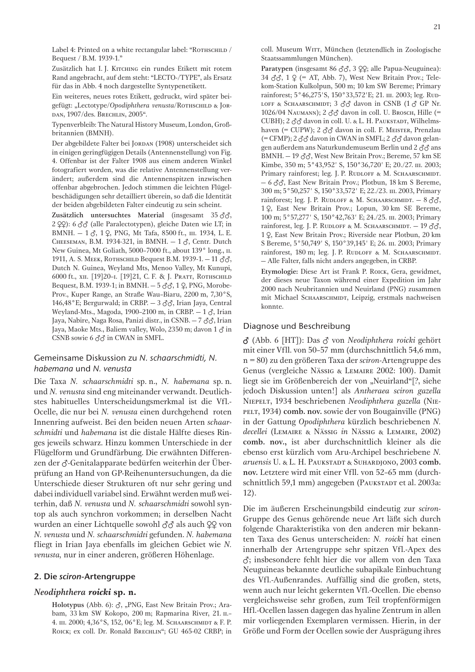Label 4: Printed on a white rectangular label: "ROTHSCHILD / Bequest / B.M. 1939-1."

Zusätzlich hat I. J. KITCHING ein rundes Etikett mit rotem Rand angebracht, auf dem steht: "LECTO-/TYPE", als Ersatz für das in Abb. 4 noch dargestellte Syntypenetikett.

Ein weiteres, neues rotes Etikett, gedruckt, wird später beigefügt: "Lectotype/*Opodiphthera venusta*/Rотнsснию & Jовdan, 1907/des. Brechlin, 2005".

Typenverbleib: The Natural History Museum, London, Großbritannien (BMNH).

Der abgebildete Falter bei JORDAN (1908) unterscheidet sich in einigen geringfügigen Details (Antennenstellung) von Fig. 4. Offenbar ist der Falter 1908 aus einem anderen Winkel fotografiert worden, was die relative Antennenstellung verändert; außerdem sind die Antennenspitzen inzwischen offenbar abgebrochen. Jedoch stimmen die leichten Flügelbeschädigungen sehr detailliert überein, so daß die Identität der beiden abgebildeten Falter eindeutig zu sein scheint.

**Zusätzlich untersuchtes Material** (insgesamt 35 ♂♂, 2 ♀♀): 6 ♂♂ (alle Paralectotypen), gleiche Daten wie LT; in BMNH. − 1 3, 1 9, PNG, Mt Tafa, 8500 ft., III. 1934, L. E. CHEESEMAN, B.M. 1934-321, in BMNH.  $-1\beta$ , Centr. Dutch New Guinea, Mt Goliath, 5000–7000 ft., about 139° long., ii. 1911, A. S. Меек, Rотнsсни Bequest B.M. 1939-1. - 11 33, Dutch N. Guinea, Weyland Mts, Menoo Valley, Mt Kunupi, 6000 ft., xii. [19]20–i. [19]21, C. F. & J. Pratt, Rothschild Bequest, B.M. 1939-1; in BMNH. — 5 ♂♂, 1 ♀, PNG, Morobe-Prov., Kuper Range, an Straße Wau–Biaru, 2200 m, 7,30°S, 146,48°E; Bergurwald; in CRBP. — 3 ♂♂, Irian Jaya, Central Weyland-Mts., Magoda, 1900-2100 m, in CRBP.  $-1 \delta$ , Irian Jaya, Nabire, Naga Rosa, Panizi distr., in CSNB. — 7 ♂♂, Irian Jaya, Maoke Mts., Baliem valley, Wolo, 2350 m; davon 1 ♂ in CSNB sowie 6 ♂♂ in CWAN in SMFL.

## Gemeinsame Diskussion zu *N. schaarschmidti, N. habemana* und *N. venusta*

Die Taxa *N. schaarschmidti* sp. n., *N. habemana* sp. n. und *N. venusta* sind eng miteinander verwandt. Deutlichstes habituelles Unterscheidungsmerkmal ist die Vfl.- Ocelle, die nur bei *N. venusta* einen durchgehend roten Innenring aufweist. Bei den beiden neuen Arten *schaarschmidti* und *habemana* ist die distale Hälfte dieses Ringes jeweils schwarz. Hinzu kommen Unterschiede in der Flügelform und Grundfärbung. Die erwähnten Differenzen der ♂-Genitalapparate bedürfen weiterhin der Überprüfung an Hand von GP-Reihenuntersuchungen, da die Unterschiede dieser Strukturen oft nur sehr gering und dabei individuell variabelsind. Erwähnt werden muß weiterhin, daß *N. venusta* und *N. schaarschmidti* sowohl syntop als auch synchron vorkommen; in derselben Nacht wurden an einer Lichtquelle sowohl ♂♂ als auch ♀♀ von *N. venusta* und *N. schaarschmidti* gefunden. *N. habemana* fliegt in Irian Jaya ebenfalls im gleichen Gebiet wie *N. venusta,* nur in einer anderen, größeren Höhenlage.

## **2. Die** *sciron***-Artengruppe**

#### *Neodiphthera roicki* **sp. n.**

Holotypus (Abb. 6):  $\vec{\sigma}$ , "PNG, East New Britain Prov.; Arabam, 33 km SW Kokopo, 200 m; Rapmarina River, 21. ii.– 4. iii. 2000; 4,36°S, 152, 06°E; leg. M. Schaarschmidt & F. P. ROICK; ex coll. Dr. Ronald BRECHLIN"; GU 465-02 CRBP; in coll. Museum Witt, München (letztendlich in Zoologische Staatssammlungen München).

**Paratypen** (insgesamt 86 ♂♂, 3 ♀♀; alle Papua-Neuguinea): 34  $\partial_0$ , 1  $\varphi$  (= AT, Abb. 7), West New Britain Prov.; Telekom-Station Kulkolpun, 500 m; 10 km SW Bereme; Primary rainforest; 5°46,275'S, 150°33,572'E; 21. iii. 2003; leg. Rud-LOFF & SCHAARSCHMIDT;  $3 \text{ } \partial \partial \text{ } d$  davon in CSNB (1  $\partial \text{ } G$ P Nr. 1026/04 NAUMANN); 2 33 davon in coll. U. Broscн, Hille (= CUBH);  $2 \, \partial \partial$  davon in coll. U. & L. H. PAUKSTADT, Wilhelmshaven (= CUPW);  $2 \text{ } \textcircled{3}$  davon in coll. F. Meister, Prenzlau  $(= \text{CFMP})$ ; 2  $\partial \partial$  davon in CWAN in SMFL; 2  $\partial \partial$  davon gelangen außerdem ans Naturkundemuseum Berlin und 2 ♂♂ ans BMNH. — 19 ♂♂, West New Britain Prov.; Bereme, 57 km SE Kimbe, 350 m; 5°43,952′ S, 150°36,720′ E; 20./27. III. 2003; Primary rainforest; leg. J. P. RUDLOFF & M. SCHAARSCHMIDT. — 6 ♂♂, East New Britain Prov.; Plotbun, 18 km S Bereme, 300 m; 5°50,257' S, 150°33,572' E; 22./23. iii. 2003, Primary rainforest; leg. J. P. RUDLOFF & M. SCHAARSCHMIDT.  $-8 \, \delta \delta$ , 1 ♀, East New Britain Prov.; Lopun, 30 km SE Bereme, 100 m; 5°57,277' S, 150°42,763' E; 24./25. iii. 2003; Primary rainforest, leg. J. P. RUDLOFF & M. SCHAARSCHMIDT.  $-$  19  $\partial\bar{\partial}$ , 1 ♀, East New Britain Prov.; Riverside near Plotbun, 20 km S Bereme, 5°50,749' S, 150°39,145' E; 26. iii. 2003; Primary rainforest, 180 m; leg. J. P. RUDLOFF & M. SCHAARSCHMIDT. — Alle Falter, falls nicht anders angegeben, in CRBP.

**Etymologie:** Diese Art ist Frank P. Roick, Gera, gewidmet, der dieses neue Taxon während einer Expedition im Jahr 2000 nach Neubritannien und Neuirland (PNG) zusammen mit Michael SCHAARSCHMIDT, Leipzig, erstmals nachweisen konnte.

#### Diagnose und Beschreibung

**♂** (Abb. 6 [HT]): Das ♂ von *Neodiphthera roicki* gehört mit einer Vfll. von 50–57 mm (durchschnittlich 54,6 mm, n = 80) zu den größeren Taxa der *sciron*-Artengruppe des Genus (vergleiche Nässig & Lemaire 2002: 100). Damit liegt sie im Größenbereich der von "Neuirland"[?, siehe jedoch Diskussion unten!] als *Antheraea sciron gazella* Niepelt, 1934 beschriebenen *Neodiphthera gazella* (Niepelt, 1934) **comb. nov.** sowie der von Bougainville (PNG) in der Gattung *Opodiphthera* kürzlich beschriebenen *N. decellei* (Lemaire & Nässig *in* Nässig & Lemaire, 2002) **comb. nov.,** ist aber durchschnittlich kleiner als die ebenso erst kürzlich vom Aru-Archipel beschriebene *N. aruensis* U. & L. H. Paukstadt & Suhardjono, 2003 **comb. nov.** Letztere wird mit einer Vfll. von 52–65 mm (durchschnittlich 59,1 mm) angegeben (PAUKSTADT et al. 2003a: 12).

Die im äußeren Erscheinungsbild eindeutig zur *sciron*-Gruppe des Genus gehörende neue Art läßt sich durch folgende Charakteristika von den anderen mir bekannten Taxa des Genus unterscheiden: *N. roicki* hat einen innerhalb der Artengruppe sehr spitzen Vfl.-Apex des  $\beta$ ; insbesondere fehlt hier die vor allem von den Taxa Neuguineas bekannte deutliche subapikale Einbuchtung des Vfl.-Außenrandes. Auffällig sind die großen, stets, wenn auch nur leicht gekernten Vfl.-Ocellen. Die ebenso vergleichsweise sehr großen, zum Teil tropfenförmigen Hfl.-Ocellen lassen dagegen das hyaline Zentrum in allen mir vorliegenden Exemplaren vermissen. Hierin, in der Größe und Form der Ocellen sowie der Ausprägung ihres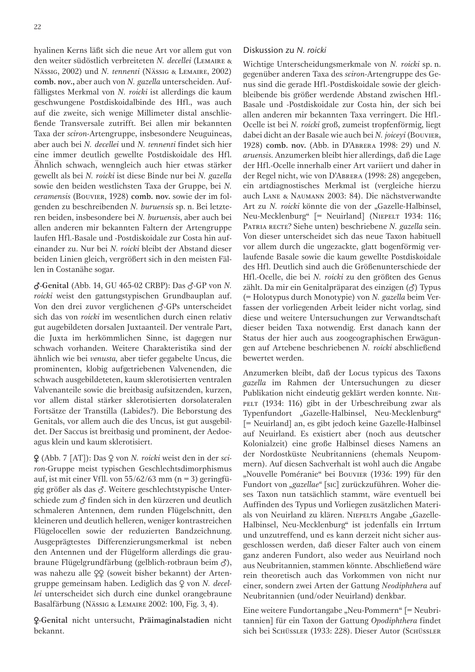hyalinen Kerns läßt sich die neue Art vor allem gut von den weiter südöstlich verbreiteten *N. decellei* (Lemaire & Nässig, 2002) und *N. tennenti* (Nässig & Lemaire, 2002) **comb. nov.,** aber auch von *N. gazella* unterscheiden. Auffälligstes Merkmal von *N. roicki* ist allerdings die kaum geschwungene Postdiskoidalbinde des Hfl., was auch auf die zweite, sich wenige Millimeter distal anschließende Transversale zutrifft. Bei allen mir bekannten Taxa der *sciron*-Artengruppe, insbesondere Neuguineas, aber auch bei *N. decellei* und *N. tennenti* findet sich hier eine immer deutlich gewellte Postdiskoidale des Hfl. Ähnlich schwach, wenngleich auch hier etwas stärker gewellt als bei *N. roicki* ist diese Binde nur bei *N. gazella* sowie den beiden westlichsten Taxa der Gruppe, bei *N. ceramensis* (Bouvier, 1928) **comb. nov.** sowie der im folgenden zu beschreibenden *N. buruensis* sp. n. Bei letzteren beiden, insbesondere bei *N. buruensis*, aber auch bei allen anderen mir bekannten Faltern der Artengruppe laufen Hfl.-Basale und -Postdiskoidale zur Costa hin aufeinander zu. Nur bei *N. roicki* bleibt der Abstand dieser beiden Linien gleich, vergrößert sich in den meisten Fällen in Costanähe sogar.

**♂-Genital** (Abb. 14, GU 465-02 CRBP): Das ♂-GP von *N. roicki* weist den gattungstypischen Grundbauplan auf. Von den drei zuvor verglichenen ♂-GPs unterscheidet sich das von *roicki* im wesentlichen durch einen relativ gut augebildeten dorsalen Juxtaanteil. Der ventrale Part, die Juxta im herkömmlichen Sinne, ist dagegen nur schwach vorhanden. Weitere Charakteristika sind der ähnlich wie bei *venusta,* aber tiefer gegabelte Uncus, die prominenten, klobig aufgetriebenen Valvenenden, die schwach ausgebildeteten, kaum sklerotisierten ventralen Valvenanteile sowie die breitbasig aufsitzenden, kurzen, vor allem distal stärker sklerotisierten dorsolateralen Fortsätze der Transtilla (Labides?). Die Beborstung des Genitals, vor allem auch die des Uncus, ist gut ausgebildet. Der Saccus ist breitbasig und prominent, der Aedoeagus klein und kaum sklerotisiert.

**♀** (Abb. 7 [AT]): Das ♀ von *N. roicki* weist den in der *sciron*-Gruppe meist typischen Geschlechtsdimorphismus auf, ist mit einer Vfll. von  $55/62/63$  mm (n = 3) geringfügig größer als das ♂. Weitere geschlechtstypische Unterschiede zum ♂ finden sich in den kürzeren und deutlich schmaleren Antennen, dem runden Flügelschnitt, den kleineren und deutlich helleren, weniger kontrastreichen Flügelocellen sowie der reduzierten Bandzeichnung. Ausgeprägtestes Differenzierungsmerkmal ist neben den Antennen und der Flügelform allerdings die graubraune Flügelgrundfärbung (gelblich-rotbraun beim ♂), was nahezu alle ♀♀ (soweit bisher bekannt) der Artengruppe gemeinsam haben. Lediglich das ♀ von *N. decellei* unterscheidet sich durch eine dunkel orangebraune Basalfärbung (Nässig & Lemaire 2002: 100, Fig. 3, 4).

**♀-Genital** nicht untersucht, **Präimaginalstadien** nicht bekannt.

## Diskussion zu *N. roicki*

Wichtige Unterscheidungsmerkmale von *N. roicki* sp. n. gegenüber anderen Taxa des *sciron*-Artengruppe des Genus sind die gerade Hfl.-Postdiskoidale sowie der gleichbleibende bis größer werdende Abstand zwischen Hfl.- Basale und -Postdiskoidale zur Costa hin, der sich bei allen anderen mir bekannten Taxa verringert. Die Hfl.- Ocelle ist bei *N. roicki* groß, zumeist tropfenförmig, liegt dabei dicht an der Basale wie auch bei *N. joiceyi* (Bouvier, 1928) **comb. nov.** (Abb. in D'Abrera 1998: 29) und *N. aruensis*. Anzumerken bleibt hier allerdings, daß die Lage der Hfl.-Ocelle innerhalb einer Art variiert und daher in der Regel nicht, wie von D'Abrera (1998: 28) angegeben, ein artdiagnostisches Merkmal ist (vergleiche hierzu auch Lane & Naumann 2003: 84). Die nächstverwandte Art zu *N. roicki* könnte die von der "Gazelle-Halbinsel, Neu-Mecklenburg" [= Neuirland] (NIEPELT 1934: 116; Patria recte? Siehe unten) beschriebene *N. gazella* sein. Von dieser unterscheidet sich das neue Taxon habituell vor allem durch die ungezackte, glatt bogenförmig verlaufende Basale sowie die kaum gewellte Postdiskoidale des Hfl. Deutlich sind auch die Größenunterschiede der Hfl.-Ocelle, die bei *N. roicki* zu den größten des Genus zählt. Da mir ein Genitalpräparat des einzigen  $(\delta)$  Typus (= Holotypus durch Monotypie) von *N. gazella* beim Verfassen der vorliegenden Arbeit leider nicht vorlag, sind diese und weitere Untersuchungen zur Verwandtschaft dieser beiden Taxa notwendig. Erst danach kann der Status der hier auch aus zoogeographischen Erwägungen auf Artebene beschriebenen *N. roicki* abschließend bewertet werden.

Anzumerken bleibt, daß der Locus typicus des Taxons *gazella* im Rahmen der Untersuchungen zu dieser Publikation nicht eindeutig geklärt werden konnte. Niepelt (1934: 116) gibt in der Urbeschreibung zwar als Typenfundort "Gazelle-Halbinsel, Neu-Mecklenburg" [= Neuirland] an, es gibt jedoch keine Gazelle-Halbinsel auf Neuirland. Es existiert aber (noch aus deutscher Kolonialzeit) eine große Halbinsel dieses Namens an der Nordostküste Neubritanniens (ehemals Neupommern). Auf diesen Sachverhalt ist wohl auch die Angabe "Nouvelle Poméranie" bei Bouvier (1936: 199) für den Fundort von "gazellae" [sɪc] zurückzuführen. Woher dieses Taxon nun tatsächlich stammt, wäre eventuell bei Auffinden des Typus und Vorliegen zusätzlichen Materials von Neuirland zu klären. NIEPELTS Angabe "Gazelle-Halbinsel, Neu-Mecklenburg" ist jedenfalls ein Irrtum und unzutreffend, und es kann derzeit nicht sicher ausgeschlossen werden, daß dieser Falter auch von einem ganz anderen Fundort, also weder aus Neuirland noch aus Neubritannien, stammen könnte. Abschließend wäre rein theoretisch auch das Vorkommen von nicht nur einer, sondern zwei Arten der Gattung *Neodiphthera* auf Neubritannien (und/oder Neuirland) denkbar.

Eine weitere Fundortangabe "Neu-Pommern" [= Neubritannien] für ein Taxon der Gattung *Opodiphthera* findet sich bei Schüssler (1933: 228). Dieser Autor (Schüssler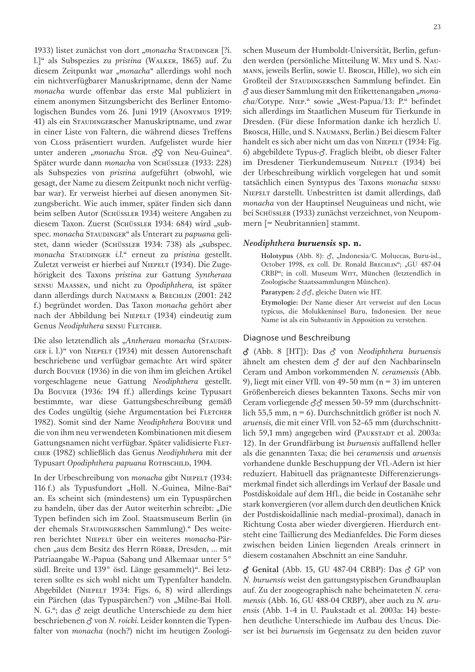1933) listet zunächst von dort "*monacha* Staudinger [?i. l.]" als Subspezies zu *pristina* (Walker, 1865) auf. Zu diesem Zeitpunkt war "*monacha"* allerdings wohl noch ein nichtverfügbarer Manuskriptname, denn der Name *monacha* wurde offenbar das erste Mal publiziert in einem anonymen Sitzungsbericht des Berliner Entomologischen Bundes vom 26. Juni 1919 (Anonymus 1919: 41) als ein Staudingerscher Manuskriptname, und zwar in einer Liste von Faltern, die während dieses Treffens von Closs präsentiert wurden. Aufgelistet wurde hier unter anderen "monacha STGR. 3º von Neu-Guinea". Später wurde dann *monacha* von Schüssler (1933: 228) als Subspezies von *pristina* aufgeführt (obwohl, wie gesagt, der Name zu diesem Zeitpunkt noch nicht verfügbar war). Er verweist hierbei auf diesen anonymen Sitzungsbericht. Wie auch immer, später finden sich dann beim selben Autor (Schüssler 1934) weitere Angaben zu diesem Taxon. Zuerst (Schüssler 1934: 684) wird "subspec. *monacha* STAUDINGER" als Unterart zu papuana gelistet, dann wieder (Schüssler 1934: 738) als "subspec. *monacha* Staudinger *i.l*." erneut zu *pristina* gestellt. Zuletzt verweist er hierbei auf Niepelt (1934). Die Zugehörigkeit des Taxons *pristina* zur Gattung *Syntherata* sensu Maassen, und nicht zu *Opodiphthera,* ist später dann allerdings durch Naumann & Brechlin (2001: 242 f.) begründet worden. Das Taxon *monacha* gehört aber nach der Abbildung bei Niepelt (1934) eindeutig zum Genus *Neodiphthera* SENSU FLETCHER.

Die also letztendlich als "Antheraea monacha (STAUDINger i. l.)" von Niepelt (1934) mit dessen Autorenschaft beschriebene und verfügbar gemachte Art wird später durch Bouvier (1936) in die von ihm im gleichen Artikel vorgeschlagene neue Gattung *Neodiphthera* gestellt. Da Bouvier (1936: 194 ff.) allerdings keine Typusart bestimmte, war diese Gattungsbeschreibung gemäß des Codes ungültig (siehe Argumentation bei FLETCHER 1982). Somit sind der Name *Neodiphthera* Bouvier und die von ihm neu verwendeten Kombinationen mit diesem Gattungsnamen nicht verfügbar. Später validisierte FLETcher (1982) schließlich das Genus *Neodiphthera* mit der Typusart *Opodiphthera papuana* Rотнsсни.р, 1904.

In der Urbeschreibung von *monacha* gibt NIEPELT (1934: 116 f.) als Typusfundort "Holl. N.-Guinea, Milne-Bai" an. Es scheint sich (mindestens) um ein Typuspärchen zu handeln, über das der Autor weiterhin schreibt: "Die Typen befinden sich im Zool. Staatsmuseum Berlin (in der ehemals Staudingerschen Sammlung)." Des weiteren berichtet Niepelt über ein weiteres *monacha*-Pärchen "aus dem Besitz des Herrn Röber, Dresden, ... mit Patriaangabe W.-Papua (Sabang und Alkemaar unter 5° südl. Breite und 139° östl. Länge gesammelt)". Bei letzteren sollte es sich wohl nicht um Typenfalter handeln. Abgebildet (Niepelt 1934: Figs. 6, 8) wird allerdings ein Pärchen (das Typuspärchen?) von "Milne-Bai Holl. N. G."; das ♂ zeigt deutliche Unterschiede zu dem hier beschriebenen ♂ von *N. roicki*. Leider konnten die Typenfalter von *monacha* (noch?) nicht im heutigen Zoologischen Museum der Humboldt-Universität, Berlin, gefunden werden (persönliche Mitteilung W. Mey und S. Naumann, jeweils Berlin, sowie U. Brosch, Hille), wo sich ein Großteil der STAUDINGERschen Sammlung befindet. Ein ♂ aus dieser Sammlung mit den Etikettenangaben "*monacha*/Cotype. NIEP." sowie "West-Papua/13: P." befindet sich allerdings im Staatlichen Museum für Tierkunde in Dresden. (Für diese Information danke ich herzlich U. Brosch, Hille, und S. Naumann, Berlin.) Bei diesem Falter handelt es sich aber nicht um das von NIEPELT (1934: Fig. 6) abgebildete Typus-♂. Fraglich bleibt, ob dieser Falter im Dresdener Tierkundemuseum Niepelt (1934) bei der Urbeschreibung wirklich vorgelegen hat und somit tatsächlich einen Syntypus des Taxons *monacha* sensu Niepelt darstellt. Unbestritten ist damit allerdings, daß *monacha* von der Hauptinsel Neuguineas und nicht, wie bei Schüssler (1933) zunächst verzeichnet, von Neupommern [= Neubritannien] stammt.

## *Neodiphthera buruensis* **sp. n.**

Holotypus (Abb. 8):  $\vec{\sigma}$ , "Indonesia/C. Moluccas, Buru-isl., October 1998, ex coll. Dr. Ronald BRECHLIN"; "GU 487-04 CRBP"; in coll. Museum WITT, München (letztendlich in Zoologische Staatssammlungen München).

**Paratypen:** 2 ♂♂, gleiche Daten wie HT.

**Etymologie:** Der Name dieser Art verweist auf den Locus typicus, die Molukkeninsel Buru, Indonesien. Der neue Name ist als ein Substantiv in Apposition zu verstehen.

#### Diagnose und Beschreibung

**♂** (Abb. 8 [HT]): Das ♂ von *Neodiphthera buruensis* ähnelt am ehesten dem ♂ der auf den Nachbarinseln Ceram und Ambon vorkommenden *N. ceramensis* (Abb. 9), liegt mit einer Vfll. von 49–50 mm (n = 3) im unteren Größenbereich dieses bekannten Taxons. Sechs mir von Ceram vorliegende ♂♂ messen 50–59 mm (durchschnittlich 55,5 mm, n = 6). Durchschnittlich größer ist noch *N. aruensis,* die mit einer Vfll. von 52–65 mm (durchschnittlich 59,1 mm) angegeben wird (PAUKSTADT et al. 2003a: 12). In der Grundfärbung ist *buruensis* auffallend heller als die genannten Taxa; die bei *ceramensis* und *aruensis* vorhandene dunkle Beschuppung der Vfl.-Adern ist hier reduziert. Habituell das prägnanteste Differenzierungsmerkmal findet sich allerdings im Verlauf der Basale und Postdiskoidale auf dem Hfl., die beide in Costanähe sehr stark konvergieren (vor allem durch den deutlichen Knick der Postdiskoidallinie nach medial–proximal), danach in Richtung Costa aber wieder divergieren. Hierdurch entsteht eine Taillierung des Medianfeldes. Die Form dieses zwischen beiden Linien liegenden Areals erinnert in diesem costanahen Abschnitt an eine Sanduhr.

**♂ Genital** (Abb. 15, GU 487-04 CRBP): Das ♂ GP von *N. buruensis* weist den gattungstypischen Grundbauplan auf. Zu der zoogeographisch nahe beheimateten *N. ceramensis* (Abb. 16, GU 488-04 CRBP), aber auch zu *N. aruensis* (Abb. 1–4 in U. Paukstadt et al. 2003a: 14) bestehen deutliche Unterschiede im Aufbau des Uncus. Dieser ist bei *buruensis* im Gegensatz zu den beiden zuvor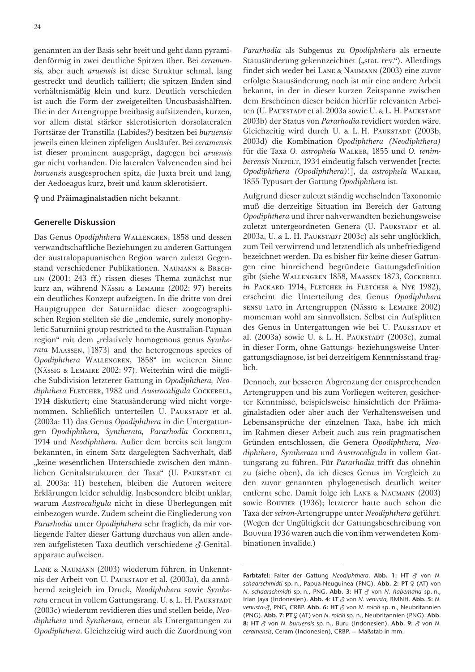genannten an der Basis sehr breit und geht dann pyramidenförmig in zwei deutliche Spitzen über. Bei *ceramensis,* aber auch *aruensis* ist diese Struktur schmal, lang gestreckt und deutlich tailliert; die spitzen Enden sind verhältnismäßig klein und kurz. Deutlich verschieden ist auch die Form der zweigeteilten Uncusbasishälften. Die in der Artengruppe breitbasig aufsitzenden, kurzen, vor allem distal stärker sklerotisierten dorsolateralen Fortsätze der Transtilla (Labides?) besitzen bei *buruensis* jeweils einen kleinen zipfeligen Ausläufer. Bei *ceramensis* ist dieser prominent ausgeprägt, dagegen bei *aruensis* gar nicht vorhanden. Die lateralen Valvenenden sind bei *buruensis* ausgesprochen spitz, die Juxta breit und lang, der Aedoeagus kurz, breit und kaum sklerotisiert.

**♀** und **Präimaginalstadien** nicht bekannt.

## **Generelle Diskussion**

Das Genus *Opodiphthera* Wallengren, 1858 und dessen verwandtschaftliche Beziehungen zu anderen Gattungen der australopapuanischen Region waren zuletzt Gegenstand verschiedener Publikationen. Naumann & Brechlin (2001: 243 ff.) rissen dieses Thema zunächst nur kurz an, während Nässig & Lemaire (2002: 97) bereits ein deutliches Konzept aufzeigten. In die dritte von drei Hauptgruppen der Saturniidae dieser zoogeographischen Region stellten sie die "endemic, surely monophyletic Saturniini group restricted to the Australian-Papuan region" mit dem "relatively homogenous genus Synthe*rata* Maassen, [1873] and the heterogenous species of *Opodiphthera* Wallengren, 1858" im weiteren Sinne (Nässig & Lemaire 2002: 97). Weiterhin wird die mögliche Subdivision letzterer Gattung in *Opodiphthera, Neo*diphthera FLETCHER, 1982 und *Austrocaligula* COCKERELL, 1914 diskutiert; eine Statusänderung wird nicht vorgenommen. Schließlich unterteilen U. PAUKSTADT et al. (2003a: 11) das Genus *Opodiphthera* in die Untergattungen Opodiphthera, Syntherata, Pararhodia COCKERELL, 1914 und *Neodiphthera*. Außer dem bereits seit langem bekannten, in einem Satz dargelegten Sachverhalt, daß "keine wesentlichen Unterschiede zwischen den männlichen Genitalstrukturen der Taxa" (U. PAUKSTADT et al. 2003a: 11) bestehen, bleiben die Autoren weitere Erklärungen leider schuldig. Insbesondere bleibt unklar, warum *Austrocaligula* nicht in diese Überlegungen mit einbezogen wurde. Zudem scheint die Eingliederung von *Pararhodia* unter *Opodiphthera* sehr fraglich, da mir vorliegende Falter dieser Gattung durchaus von allen anderen aufgelisteten Taxa deutlich verschiedene ♂-Genitalapparate aufweisen.

Lane & Naumann (2003) wiederum führen, in Unkenntnis der Arbeit von U. PAUKSTADT et al. (2003a), da annähernd zeitgleich im Druck, *Neodiphthera* sowie *Syntherata* erneut in vollem Gattungsrang. U. & L. H. PAUKSTADT (2003c) wiederum revidieren dies und stellen beide, *Neodiphthera* und *Syntherata,* erneut als Untergattungen zu *Opodiphthera*. Gleichzeitig wird auch die Zuordnung von *Pararhodia* als Subgenus zu *Opodiphthera* als erneute Statusänderung gekennzeichnet ("stat. rev."). Allerdings findet sich weder bei Lane & Naumann (2003) eine zuvor erfolgte Statusänderung, noch ist mir eine andere Arbeit bekannt, in der in dieser kurzen Zeitspanne zwischen dem Erscheinen dieser beiden hierfür relevanten Arbeiten (U. PAUKSTADT et al. 2003a sowie U. & L. H. PAUKSTADT 2003b) der Status von *Pararhodia* revidiert worden wäre. Gleichzeitig wird durch U. & L. H. PAUKSTADT (2003b, 2003d) die Kombination *Opodiphthera (Neodiphthera)* für die Taxa *O. astrophela* Walker, 1855 und *O. tenim*berensis NIEPELT, 1934 eindeutig falsch verwendet [recte: *Opodiphthera (Opodiphthera)*!], da *astrophela* Walker, 1855 Typusart der Gattung *Opodiphthera* ist.

Aufgrund dieser zuletzt ständig wechselnden Taxonomie muß die derzeitige Situation im Bereich der Gattung *Opodiphthera* und ihrer nahverwandten beziehungsweise zuletzt untergeordneten Genera (U. PAUKSTADT et al. 2003a, U. & L. H. PAUKSTADT 2003c) als sehr unglücklich, zum Teil verwirrend und letztendlich als unbefriedigend bezeichnet werden. Da es bisher für keine dieser Gattungen eine hinreichend begründete Gattungsdefinition gibt (siehe Wallengren 1858, Maassen 1873, Cockerell *in* Packard 1914, Fletcher *in* Fletcher & Nye 1982), erscheint die Unterteilung des Genus *Opodiphthera* sensu lato in Artengruppen (Nässig & Lemaire 2002) momentan wohl am sinnvollsten. Selbst ein Aufsplitten des Genus in Untergattungen wie bei U. PAUKSTADT et al. (2003a) sowie U. & L. H. PAUKSTADT (2003c), zumal in dieser Form, ohne Gattungs- beziehungsweise Untergattungsdiagnose, ist bei derzeitigem Kenntnisstand fraglich.

Dennoch, zur besseren Abgrenzung der entsprechenden Artengruppen und bis zum Vorliegen weiterer, gesicherter Kenntnisse, beispielsweise hinsichtlich der Präimaginalstadien oder aber auch der Verhaltensweisen und Lebensansprüche der einzelnen Taxa, habe ich mich im Rahmen dieser Arbeit auch aus rein pragmatischen Gründen entschlossen, die Genera *Opodiphthera, Neodiphthera, Syntherata* und *Austrocaligula* in vollem Gattungsrang zu führen. Für *Pararhodia* trifft das ohnehin zu (siehe oben), da ich dieses Genus im Vergleich zu den zuvor genannten phylogenetisch deutlich weiter entfernt sehe. Damit folge ich Lane & Naumann (2003) sowie Bouvier (1936); letzterer hatte auch schon die Taxa der *sciron*-Artengruppe unter *Neodiphthera* geführt. (Wegen der Ungültigkeit der Gattungsbeschreibung von Bouvier 1936 waren auch die von ihm verwendeten Kombinationen invalide.)

**Farbtafel:** Falter der Gattung *Neodiphthera*. **Abb. 1: HT** ♂ von *N. schaarschmidti* sp. n., Papua-Neuguinea (PNG). **Abb. 2: PT** ♀ (AT) von *N. schaarschmidti* sp. n., PNG. **Abb. 3: HT** ♂ von *N. habemana* sp. n., Irian Jaya (Indonesien). **Abb. 4: LT** ♂ von *N. venusta,* BMNH. **Abb. 5:** *N. venusta*-♂, PNG, CRBP. **Abb. 6: HT** ♂ von *N. roicki* sp. n., Neubritannien (PNG). **Abb. 7: PT** ♀ (AT) von *N. roicki* sp. n., Neubritannien (PNG). **Abb. 8: HT** ♂ von *N. buruensis* sp. n., Buru (Indonesien). **Abb. 9:** ♂ von *N. ceramensis*, Ceram (Indonesien), CRBP. — Maßstab in mm.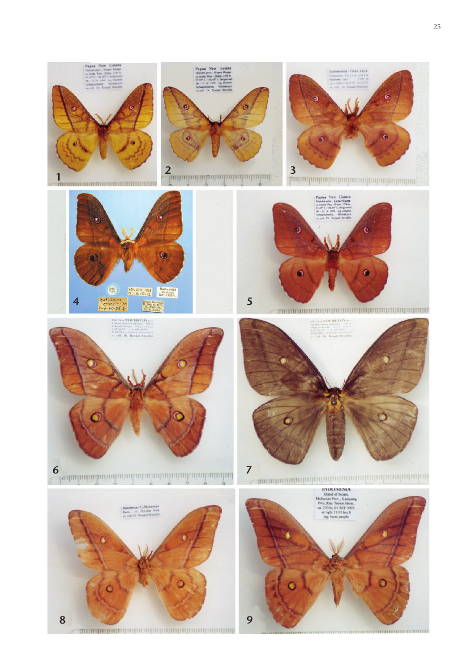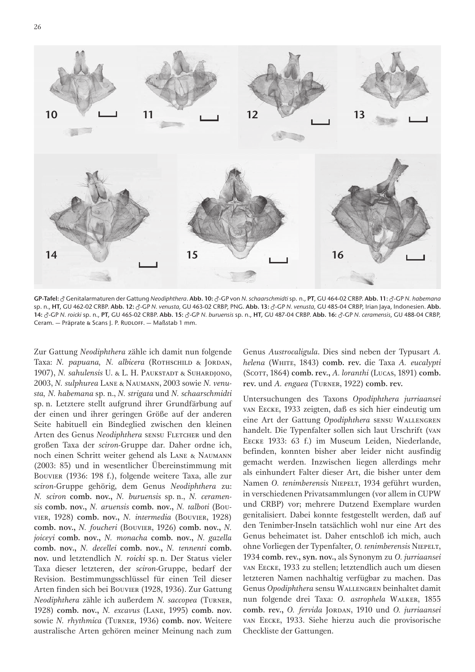

**GP-Tafel:** ♂ Genitalarmaturen der Gattung *Neodiphthera*. **Abb. 10:** ♂-GP von *N. schaarschmidti* sp. n., **PT**, GU 464-02 CRBP. **Abb. 11:** ♂-GP *N. habemana* sp. n., **HT,** GU 462-02 CRBP. **Abb. 12:** ♂-GP *N. venusta,* GU 463-02 CRBP, PNG. **Abb. 13:** ♂-GP *N. venusta,* GU 485-04 CRBP, Irian Jaya, Indonesien. **Abb. 14:** ♂-GP *N. roicki* sp. n., **PT,** GU 465-02 CRBP. **Abb. 15:** ♂-GP *N. buruensis* sp. n., **HT,** GU 487-04 CRBP. **Abb. 16:** ♂-GP *N. ceramensis*, GU 488-04 CRBP, Ceram. - Präprate & Scans J. P. RUDLOFF. - Maßstab 1 mm.

Zur Gattung *Neodiphthera* zähle ich damit nun folgende Taxa: *N. papuana, N. albicera* (ROTHSCHILD & JORDAN, 1907), *N. sahulensis* U. & L. H. PAUKSTADT & SUHARDJONO, 2003, *N. sulphurea* Lane & Naumann, 2003 sowie *N. venusta, N. habemana* sp. n., *N. strigata* und *N. schaarschmidti* sp. n. Letztere stellt aufgrund ihrer Grundfärbung auf der einen und ihrer geringen Größe auf der anderen Seite habituell ein Bindeglied zwischen den kleinen Arten des Genus Neodiphthera sensu FLETCHER und den großen Taxa der *sciron*-Gruppe dar. Daher ordne ich, noch einen Schritt weiter gehend als Lane & Naumann (2003: 85) und in wesentlicher Übereinstimmung mit Bouvier (1936: 198 f.), folgende weitere Taxa, alle zur *sciron*-Gruppe gehörig, dem Genus *Neodiphthera* zu: *N. sciron* **comb. nov.,** *N. buruensis* sp. n., *N. ceramensis* **comb. nov.,** *N. aruensis* **comb. nov.,** *N. talboti* (Bouvier, 1928) **comb. nov.,** *N. intermedia* (Bouvier, 1928) **comb. nov.,** *N. foucheri* (Bouvier, 1926) **comb. nov.,** *N. joiceyi* **comb. nov.,** *N. monacha* **comb. nov.,** *N. gazella* **comb. nov.,** *N. decellei* **comb. nov.,** *N. tennenti* **comb. nov.** und letztendlich *N. roicki* sp. n. Der Status vieler Taxa dieser letzteren, der *sciron*-Gruppe, bedarf der Revision. Bestimmungsschlüssel für einen Teil dieser Arten finden sich bei Bouvier (1928, 1936). Zur Gattung *Neodiphthera* zähle ich außerdem *N. saccopea* (Turner, 1928) **comb. nov.,** *N. excavus* (Lane, 1995) **comb. nov.** sowie *N. rhythmica* (Turner, 1936) **comb. nov.** Weitere australische Arten gehören meiner Meinung nach zum

Genus *Austrocaligula*. Dies sind neben der Typusart *A. helena* (White, 1843) **comb. rev.** die Taxa *A. eucalypti* (Scott, 1864) **comb. rev.,** *A. loranthi* (Lucas, 1891) **comb. rev.** und *A. engaea* (Turner, 1922) **comb. rev.**

Untersuchungen des Taxons *Opodiphthera jurriaansei* van Eecke, 1933 zeigten, daß es sich hier eindeutig um eine Art der Gattung *Opodiphthera* sensu Wallengren handelt. Die Typenfalter sollen sich laut Urschrift (van Eecke 1933: 63 f.) im Museum Leiden, Niederlande, befinden, konnten bisher aber leider nicht ausfindig gemacht werden. Inzwischen liegen allerdings mehr als einhundert Falter dieser Art, die bisher unter dem Namen *O. tenimberensis* Niepelt, 1934 geführt wurden, in verschiedenen Privatsammlungen (vor allem in CUPW und CRBP) vor; mehrere Dutzend Exemplare wurden genitalisiert. Dabei konnte festgestellt werden, daß auf den Tenimber-Inseln tatsächlich wohl nur eine Art des Genus beheimatet ist. Daher entschloß ich mich, auch ohne Vorliegen der Typenfalter, *O. tenimberensis* Niepelt, 1934 **comb. rev., syn. nov.,** als Synonym zu *O. jurriaansei* van Eecke, 1933 zu stellen; letztendlich auch um diesen letzteren Namen nachhaltig verfügbar zu machen. Das Genus *Opodiphthera* sensu Wallengren beinhaltet damit nun folgende drei Taxa: *O. astrophela* Walker, 1855 **comb. rev.,** *O. fervida* Jordan, 1910 und *O. jurriaansei* van Eecke, 1933. Siehe hierzu auch die provisorische Checkliste der Gattungen.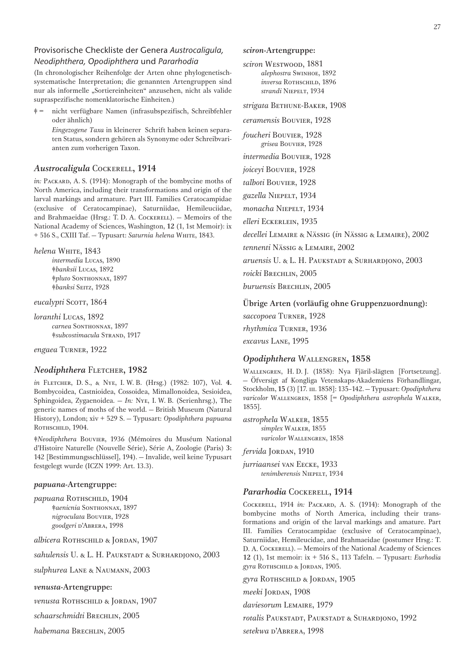## Provisorische Checkliste der Genera *Austrocaligula, Neodiphthera, Opodiphthera* und *Pararhodia*

(In chronologischer Reihenfolge der Arten ohne phylogenetischsystematische Interpretation; die genannten Artengruppen sind nur als informelle "Sortiereinheiten" anzusehen, nicht als valide supraspezifische nomenklatorische Einheiten.)

‡ = nicht verfügbare Namen (infrasubspezifisch, Schreibfehler oder ähnlich)

*Eingezogene Taxa* in kleinerer Schrift haben keinen separaten Status, sondern gehören als Synonyme oder Schreibvarianten zum vorherigen Taxon.

## *Austrocaligula* Cockerell**, 1914**

*in:* PACKARD, A. S. (1914): Monograph of the bombycine moths of North America, including their transformations and origin of the larval markings and armature. Part III. Families Ceratocampidae (exclusive of Ceratocampinae), Saturniidae, Hemileuciidae, and Brahmaeidae (Hrsg.: T. D. A. Cockerell). - Memoirs of the National Academy of Sciences, Washington, **12** (1, 1st Memoir): ix + 516 S., CXIII Taf. — Typusart: *Saturnia helena* White, 1843.

helena WHITE, 1843

*intermedia* Lucas, 1890 ‡*banksii* Lucas, 1892 ‡*pluto* Sonthonnax, 1897 ‡*banksi* Seitz, 1928

*eucalypti* Scorr, 1864

*loranthi* Lucas, 1892 *carnea* Sonthonnax, 1897 ‡*subcostimacula* Strand, 1917

*engaea* Turner, 1922

## *Neodiphthera* Fletcher**, 1982**

*in* FLETCHER, D. S., & NYE, I. W. B. (Hrsg.) (1982: 107), Vol. 4. Bombycoidea, Castnioidea, Cossoidea, Mimallonoidea, Sesioidea, Sphingoidea, Zygaenoidea. — *In:* Nye, I. W. B. (Serienhrsg.), The generic names of moths of the world. — British Museum (Natural History), London; xiv + 529 S. — Typusart: *Opodiphthera papuana* ROTHSCHILD, 1904.

‡*Neodiphthera* Bouvier, 1936 (Mémoires du Muséum National d'Histoire Naturelle (Nouvelle Série), Série A, Zoologie (Paris) **3:** 142 [Bestimmungsschlüssel], 194). — Invalide, weil keine Typusart festgelegt wurde (ICZN 1999: Art. 13.3).

#### *papuana***-Artengruppe:**

papuana Rothschild, 1904 ‡*aenicnia* Sonthonnax, 1897 *nigroculata* Bouvier, 1928 goodgeri d'Abrera, 1998

*albicera* Rothschild & Jordan, 1907

sahulensis U. & L. H. PAUKSTADT & SURHARDJONO, 2003

*sulphurea* Lane & Naumann, 2003

#### *venusta***-Artengruppe:**

*venusta* ROTHSCHILD & JORDAN, 1907

*schaarschmidti* Brechlin, 2005

*habemana* Brechlin, 2005

#### *sciron***-Artengruppe:**

*sciron* Westwood, 1881 *alephostra* Swinhoe, 1892 *inversa* Rотнsсни.р, 1896 strandi NIEPELT, 1934

*strigata* Bethune-Baker, 1908

*ceramensis* Bouvier, 1928

*foucheri* Bouvier, 1928 *grisea* Bouvier, 1928

*intermedia* Bouvier, 1928

*joiceyi* Bouvier, 1928

*talboti* Bouvier, 1928

*gazella* Niepelt, 1934

*monacha* Niepelt, 1934

*elleri* Eckerlein, 1935

*decellei* Lemaire & Nässig (*in* Nässig & Lemaire), 2002

*tennenti* Nässig & Lemaire, 2002

*aruensis* U. & L. H. PAUKSTADT & SURHARDJONO, 2003

*roicki* Brechlin, 2005

*buruensis* Brechlin, 2005

**Übrige Arten (vorläufig ohne Gruppenzuordnung):** *saccopoea* Turner, 1928

*rhythmica* Turner, 1936

*excavus* Lane, 1995

#### *Opodiphthera* Wallengren**, 1858**

WALLENGREN, H. D. J. (1858): Nya Fjäril-slägten [Fortsetzung]. — Öfversigt af Kongliga Vetenskaps-Akademiens Förhandlingar, Stockholm, **15** (3) [17. iii. 1858]: 135–142. — Typusart: *Opodiphthera varicolor* Wallengren, 1858 [= *Opodiphthera astrophela* Walker, 1855].

*astrophela* Walker, 1855 *simplex* Walker, 1855 *varicolor* Wallengren, 1858

*fervida* JORDAN, 1910

*jurriaansei* van Eecke, 1933 *tenimberensis* Niepelt, 1934

#### *Pararhodia* Cockerell**, 1914**

COCKERELL, 1914 *in:* PACKARD, A. S. (1914): Monograph of the bombycine moths of North America, including their transformations and origin of the larval markings and amature. Part III. Families Ceratocampidae (exclusive of Ceratocampinae), Saturniidae, Hemileucidae, and Brahmaeidae (postumer Hrsg.: T. D. A. Cockerell). — Memoirs of the National Academy of Sciences **12** (1), 1st memoir: ix + 516 S., 113 Tafeln. — Typusart: *Eurhodia gyra* Rothschild & Jordan, 1905.

*gyra* Rothschild & Jordan, 1905

meeki JORDAN, 1908

*daviesorum* Lemaire, 1979

*rotalis* PAUKSTADT, PAUKSTADT & SUHARDJONO, 1992

setekwa d'Abrera, 1998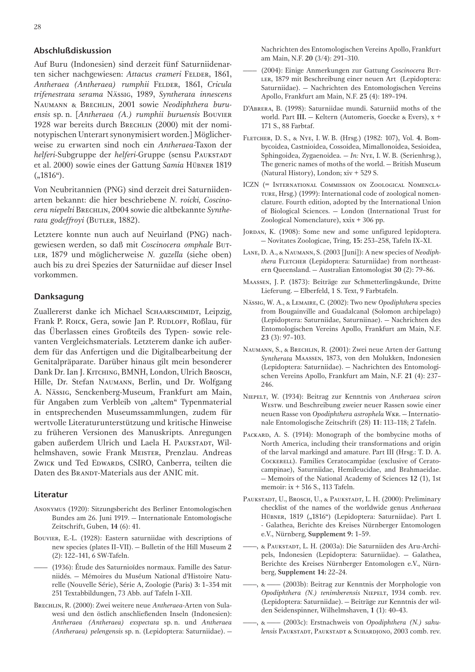## **Abschlußdiskussion**

Auf Buru (Indonesien) sind derzeit fünf Saturniidenarten sicher nachgewiesen: Attacus crameri FELDER, 1861, *Antheraea (Antheraea) rumphii* FELDER, 1861, *Cricula trifenestrata serama* Nässig, 1989, *Syntherata innescens* Naumann & Brechlin, 2001 sowie *Neodiphthera buruensis* sp. n. [*Antheraea (A.) rumphii buruensis* Bouvier 1928 war bereits durch Brechlin (2000) mit der nominotypischen Unterartsynonymisiert worden.] Möglicherweise zu erwarten sind noch ein *Antheraea*-Taxon der *helferi-Subgruppe der helferi-Gruppe (sensu PAUKSTADT* et al. 2000) sowie eines der Gattung *Samia* Hübner 1819  $(0.1816)$ .

Von Neubritannien (PNG) sind derzeit drei Saturniidenarten bekannt: die hier beschriebene *N. roicki, Coscinocera niepelti* Brechlin, 2004 sowie die altbekannte *Synthe*rata godeffroyi (BUTLER, 1882).

Letztere konnte nun auch auf Neuirland (PNG) nachgewiesen werden, so daß mit *Coscinocera omphale* Butler, 1879 und möglicherweise *N. gazella* (siehe oben) auch bis zu drei Spezies der Saturniidae auf dieser Insel vorkommen.

## **Danksagung**

Zuallererst danke ich Michael SCHAARSCHMIDT, Leipzig, Frank P. Roick, Gera, sowie Jan P. Rudloff, Roßlau, für das Überlassen eines Großteils des Typen- sowie relevanten Vergleichsmaterials. Letzterem danke ich außerdem für das Anfertigen und die Digitalbearbeitung der Genitalpräparate. Darüber hinaus gilt mein besonderer Dank Dr. Ian J. KITCHING, BMNH, London, Ulrich Broscн, Hille, Dr. Stefan Naumann, Berlin, und Dr. Wolfgang A. Nässig, Senckenberg-Museum, Frankfurt am Main, für Angaben zum Verbleib von "altem" Typenmaterial in entsprechenden Museumssammlungen, zudem für wertvolle Literaturunterstützung und kritische Hinweise zu früheren Versionen des Manuskripts. Anregungen gaben außerdem Ulrich und Laela H. PAUKSTADT, Wilhelmshaven, sowie Frank MEISTER, Prenzlau. Andreas Zwick und Ted Edwards, CSIRO, Canberra, teilten die Daten des BRANDT-Materials aus der ANIC mit.

#### **Literatur**

- Anonymus (1920): Sitzungsbericht des Berliner Entomologischen Bundes am 26. Juni 1919. — Internationale Entomologische Zeitschrift, Guben, **14** (6): 41.
- Bouvier, E.-L. (1928): Eastern saturniidae with descriptions of new species (plates II–VII). — Bulletin of the Hill Museum **2** (2): 122–141, 6 SW-Tafeln.
- (1936): Étude des Saturnioïdes normaux. Famille des Saturniidés. — Mémoires du Muséum National d'Histoire Naturelle (Nouvelle Série), Série A, Zoologie (Paris) **3:** 1–354 mit 251 Textabbildungen, 73 Abb. auf Tafeln I–XII.
- Brechlin, R. (2000): Zwei weitere neue *Antheraea*-Arten von Sulawesi und den östlich anschließenden Inseln (Indonesien): *Antheraea (Antheraea) exspectata* sp. n. und *Antheraea (Antheraea) pelengensis* sp. n. (Lepidoptera: Saturniidae). —

Nachrichten des Entomologischen Vereins Apollo, Frankfurt am Main, N.F. **20** (3/4): 291–310.

- ——— (2004): Einige Anmerkungen zur Gattung *Coscinocera* Butler, 1879 mit Beschreibung einer neuen Art (Lepidoptera: Saturniidae). — Nachrichten des Entomologischen Vereins Apollo, Frankfurt am Main, N.F. **25** (4): 189–194.
- D'Abrera, B. (1998): Saturniidae mundi. Saturniid moths of the world. Part **III.** — Keltern (Automeris, Goecke & Evers), x + 171 S., 88 Farbtaf.
- Fletcher, D. S., & Nye, I. W. B. (Hrsg.) (1982: 107), Vol. **4.** Bombycoidea, Castnioidea, Cossoidea, Mimallonoidea, Sesioidea, Sphingoidea, Zygaenoidea. — *In:* Nye, I. W. B. (Serienhrsg.), The generic names of moths of the world. — British Museum (Natural History), London; xiv + 529 S.
- ICZN (= International Commission on Zoological Nomenclature, Hrsg.) (1999): International code of zoological nomenclature. Fourth edition, adopted by the International Union of Biological Sciences. — London (International Trust for Zoological Nomenclature), xxix + 306 pp.
- JORDAN, K. (1908): Some new and some unfigured lepidoptera. — Novitates Zoologicae, Tring, **15:** 253–258, Tafeln IX–XI.
- Lane, D. A., & Naumann, S. (2003 [Juni]): A new species of *Neodiphthera* FLETCHER (Lepidoptera: Saturniidae) from northeastern Queensland. — Australian Entomologist **30** (2): 79–86.
- Maassen, J. P. (1873): Beiträge zur Schmetterlingskunde, Dritte Lieferung. — Elberfeld, 1 S. Text, 9 Farbtafeln.
- Nässig, W. A., & Lemaire, C. (2002): Two new *Opodiphthera* species from Bougainville and Guadalcanal (Solomon archipelago) (Lepidoptera: Saturniidae, Saturniinae). — Nachrichten des Entomologischen Vereins Apollo, Frankfurt am Main, N.F. **23** (3): 97–103.
- Naumann, S., & Brechlin, R. (2001): Zwei neue Arten der Gattung *Syntherata* Maassen, 1873, von den Molukken, Indonesien (Lepidoptera: Saturniidae). — Nachrichten des Entomologischen Vereins Apollo, Frankfurt am Main, N.F. **21** (4): 237– 246.
- Niepelt, W. (1934): Beitrag zur Kenntnis von *Antheraea sciron* Westw. und Beschreibung zweier neuer Rassen sowie einer neuen Rasse von *Opodiphthera astrophela* Wkr. — Internationale Entomologische Zeitschrift (28) 11: 113-118; 2 Tafeln.
- PACKARD, A. S. (1914): Monograph of the bombycine moths of North America, including their transformations and origin of the larval markingd and amature. Part III (Hrsg.: T. D. A. COCKERELL). Families Ceratocampidae (exclusive of Ceratocampinae), Saturniidae, Hemileucidae, and Brahmaeidae. — Memoirs of the National Academy of Sciences **12** (1), 1st memoir: ix + 516 S., 113 Tafeln.
- PAUKSTADT, U., BROSCH, U., & PAUKSTADT, L. H. (2000): Preliminary checklist of the names of the worldwide genus *Antheraea* Hübner, 1819 ("1816") (Lepidoptera: Saturniidae). Part I. - Galathea, Berichte des Kreises Nürnberger Entomologen e.V., Nürnberg, **Supplement 9:** 1–59.
- ———, & Paukstadt, L. H. (2003a): Die Saturniiden des Aru-Archipels, Indonesien (Lepidoptera: Saturniidae). — Galathea, Berichte des Kreises Nürnberger Entomologen e.V., Nürnberg, **Supplement 14:** 22–24.
- (2003b): Beitrag zur Kenntnis der Morphologie von *Opodiphthera (N.) tenimberensis* Niepelt, 1934 comb. rev. (Lepidoptera: Saturniidae). — Beiträge zur Kenntnis der wilden Seidenspinner, Wilhelmshaven, **1** (1): 40–43.
- ———, & ——— (2003c): Erstnachweis von *Opodiphthera (N.) sahu*lensis PAUKSTADT, PAUKSTADT & SUHARDJONO, 2003 comb. rev.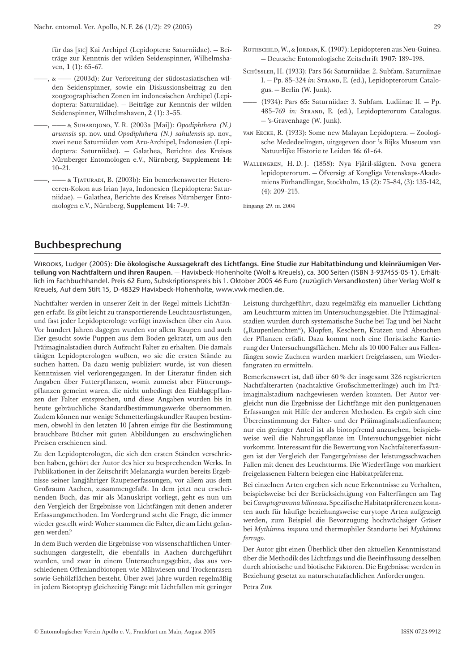für das [sic] Kai Archipel (Lepidoptera: Saturniidae). — Beiträge zur Kenntnis der wilden Seidenspinner, Wilhelmshaven, **1** (1): 65–67.

- ———, & ——— (2003d): Zur Verbreitung der südostasiatischen wilden Seidenspinner, sowie ein Diskussionsbeitrag zu den zoogeographischen Zonen im indonesischen Archipel (Lepidoptera: Saturniidae). — Beiträge zur Kenntnis der wilden Seidenspinner, Wilhelmshaven, **2** (1): 3–55.
- ———, ——— & Suhardjono, Y. R. (2003a [Mai]): *Opodiphthera (N.) aruensis* sp. nov. und *Opodiphthera (N.) sahulensis* sp. nov., zwei neue Saturniiden vom Aru-Archipel, Indonesien (Lepidoptera: Saturniidae). — Galathea, Berichte des Kreises Nürnberger Entomologen e.V., Nürnberg, **Supplement 14:** 10–21.
- ———, ——— & Tjaturadi, B. (2003b): Ein bemerkenswerter Heteroceren-Kokon aus Irian Jaya, Indonesien (Lepidoptera: Saturniidae). — Galathea, Berichte des Kreises Nürnberger Entomologen e.V., Nürnberg, **Supplement 14:** 7–9.
- ROTHSCHILD, W., & JORDAN, K. (1907): Lepidopteren aus Neu-Guinea. — Deutsche Entomologische Zeitschrift **1907:** 189–198.
- Schüssler, H. (1933): Pars **56:** Saturniidae: 2. Subfam. Saturniinae I. - Pp. 85-324 *in:* STRAND, E. (ed.), Lepidopterorum Catalogus. — Berlin (W. Junk).
- ——— (1934): Pars **65:** Saturniidae: 3. Subfam. Ludiinae II. Pp. 485–769 *in:* Strand, E. (ed.), Lepidopterorum Catalogus. — 's-Gravenhage (W. Junk).
- van Eecke, R. (1933): Some new Malayan Lepidoptera. Zoologische Mededeelingen, uitgegeven door 's Rijks Museum van Natuurlijke Historie te Leiden **16:** 61–64.
- WALLENGREN, H. D. J. (1858): Nya Fjäril-slägten. Nova genera lepidopterorum. — Öfversigt af Kongliga Vetenskaps-Akademiens Förhandlingar, Stockholm, **15** (2): 75–84, (3): 135-142, (4): 209–215.

Eingang: 29. III. 2004

# **Buchbesprechung**

Wirooks, Ludger (2005): **Die ökologische Aussagekraft des Lichtfangs. Eine Studie zur Habitatbindung und kleinräumigen Verteilung von Nachtfaltern und ihren Raupen.** — Havixbeck-Hohenholte (Wolf & Kreuels), ca. 300 Seiten (ISBN 3-937455-05-1). Erhältlich im Fachbuchhandel. Preis 62 Euro, Subskriptionspreis bis 1. Oktober 2005 46 Euro (zuzüglich Versandkosten) über Verlag Wolf & Kreuels, Auf dem Stift 15, D-48329 Havixbeck-Hohenholte, www.vwk-medien.de.

Nachtfalter werden in unserer Zeit in der Regel mittels Lichtfängen erfaßt. Es gibt leicht zu transportierende Leuchtausrüstungen, und fast jeder Lepidopterologe verfügt inzwischen über ein Auto. Vor hundert Jahren dagegen wurden vor allem Raupen und auch Eier gesucht sowie Puppen aus dem Boden gekratzt, um aus den Präimaginalstadien durch Aufzucht Falter zu erhalten. Die damals tätigen Lepidopterologen wußten, wo sie die ersten Stände zu suchen hatten. Da dazu wenig publiziert wurde, ist von diesen Kenntnissen viel verlorengegangen. In der Literatur finden sich Angaben über Futterpflanzen, womit zumeist aber Fütterungspflanzen gemeint waren, die nicht unbedingt den Eiablagepflanzen der Falter entsprechen, und diese Angaben wurden bis in heute gebräuchliche Standardbestimmungswerke übernommen. Zudem können nur wenige Schmetterlingskundler Raupen bestimmen, obwohl in den letzten 10 Jahren einige für die Bestimmung brauchbare Bücher mit guten Abbildungen zu erschwinglichen Preisen erschienen sind.

Zu den Lepidopterologen, die sich den ersten Ständen verschrieben haben, gehört der Autor des hier zu besprechenden Werks. In Publikationen in der Zeitschrift Melanargia wurden bereits Ergebnisse seiner langjähriger Raupenerfassungen, vor allem aus dem Großraum Aachen, zusammengefaßt. In dem jetzt neu erscheinenden Buch, das mir als Manuskript vorliegt, geht es nun um den Vergleich der Ergebnisse von Lichtfängen mit denen anderer Erfassungsmethoden. Im Vordergrund steht die Frage, die immer wieder gestellt wird: Woher stammen die Falter, die am Licht gefangen werden?

In dem Buch werden die Ergebnisse von wissenschaftlichen Untersuchungen dargestellt, die ebenfalls in Aachen durchgeführt wurden, und zwar in einem Untersuchungsgebiet, das aus verschiedenen Offenlandbiotopen wie Mähwiesen und Trockenrasen sowie Gehölzflächen besteht. Über zwei Jahre wurden regelmäßig in jedem Biotoptyp gleichzeitig Fänge mit Lichtfallen mit geringer

Leistung durchgeführt, dazu regelmäßig ein manueller Lichtfang am Leuchtturm mitten im Untersuchungsgebiet. Die Präimaginalstadien wurden durch systematische Suche bei Tag und bei Nacht ("Raupenleuchten"), Klopfen, Keschern, Kratzen und Absuchen der Pflanzen erfaßt. Dazu kommt noch eine floristische Kartierung der Untersuchungsflächen. Mehr als 10 000 Falter aus Fallenfängen sowie Zuchten wurden markiert freigelassen, um Wiederfangraten zu ermitteln.

Bemerkenswert ist, daß über 60 % der insgesamt 326 registrierten Nachtfalterarten (nachtaktive Großschmetterlinge) auch im Präimaginalstadium nachgewiesen werden konnten. Der Autor vergleicht nun die Ergebnisse der Lichtfänge mit den punktgenauen Erfassungen mit Hilfe der anderen Methoden. Es ergab sich eine Übereinstimmung der Falter- und der Präimaginalstadienfaunen; nur ein geringer Anteil ist als biotopfremd anzusehen, beispielsweise weil die Nahrungspflanze im Untersuchungsgebiet nicht vorkommt. Interessant für die Bewertung von Nachtfaltererfassungen ist der Vergleich der Fangergebnisse der leistungsschwachen Fallen mit denen des Leuchtturms. Die Wiederfänge von markiert freigelassenen Faltern belegen eine Habitatpräferenz.

Bei einzelnen Arten ergeben sich neue Erkenntnisse zu Verhalten, beispielsweise bei der Berücksichtigung von Falterfängen am Tag bei Camptogramma bilineata. Spezifische Habitatpräferenzen konnten auch für häufige beziehungsweise eurytope Arten aufgezeigt werden, zum Beispiel die Bevorzugung hochwüchsiger Gräser bei *Mythimna impura* und thermophiler Standorte bei *Mythimna ferrago*.

Der Autor gibt einen Überblick über den aktuellen Kenntnisstand über die Methodik des Lichtfangs und die Beeinflussung desselben durch abiotische und biotische Faktoren. Die Ergebnisse werden in Beziehung gesetzt zu naturschutzfachlichen Anforderungen.

Petra Zub